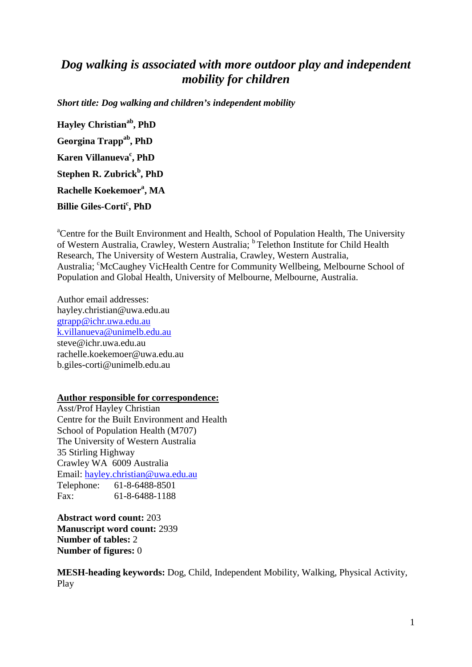# *Dog walking is associated with more outdoor play and independent mobility for children*

*Short title: Dog walking and children's independent mobility*

**Hayley Christianab , PhD Georgina Trappab , PhD Karen Villanueva<sup>c</sup>, PhD Stephen R. Zubrick<sup>b</sup> , PhD Rachelle Koekemoera , MA Billie Giles-Corti<sup>c</sup> , PhD**

<sup>a</sup>Centre for the Built Environment and Health, School of Population Health, The University of Western Australia, Crawley, Western Australia; <sup>b</sup> Telethon Institute for Child Health Research, The University of Western Australia, Crawley, Western Australia, Australia; 'McCaughey VicHealth Centre for Community Wellbeing, Melbourne School of Population and Global Health, University of Melbourne, Melbourne, Australia.

Author email addresses: [hayley.christian@uwa.edu.au](mailto:hayley.christian@uwa.edu.au) [gtrapp@ichr.uwa.edu.au](mailto:gtrapp@ichr.uwa.edu.au) [k.villanueva@unimelb.edu.au](mailto:k.villanueva@unimelb.edu.au) [steve@ichr.uwa.edu.au](mailto:kathy.wright01@gmail.com) rachelle.koekemoer@uwa.edu.au [b.giles-corti@unimelb.edu.au](mailto:b.giles-corti@unimelb.edu.au)

#### **Author responsible for correspondence:**

Asst/Prof Hayley Christian Centre for the Built Environment and Health School of Population Health (M707) The University of Western Australia 35 Stirling Highway Crawley WA 6009 Australia Email: [hayley.christian@uwa.edu.au](mailto:hayley.christian@uwa.edu.au) Telephone: 61-8-6488-8501 Fax: 61-8-6488-1188

**Abstract word count:** 203 **Manuscript word count:** 2939 **Number of tables:** 2 **Number of figures:** 0

**MESH-heading keywords:** Dog, Child, Independent Mobility, Walking, Physical Activity, Play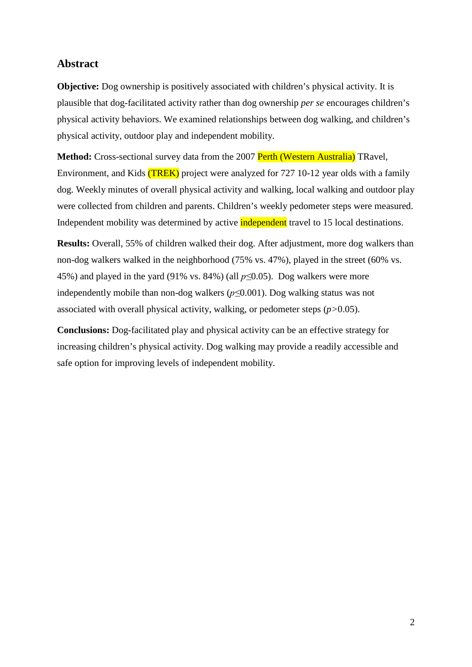## **Abstract**

**Objective:** Dog ownership is positively associated with children's physical activity. It is plausible that dog-facilitated activity rather than dog ownership *per se* encourages children's physical activity behaviors. We examined relationships between dog walking, and children's physical activity, outdoor play and independent mobility.

**Method:** Cross-sectional survey data from the 2007 **Perth (Western Australia)** TRavel, Environment, and Kids (TREK) project were analyzed for 727 10-12 year olds with a family dog. Weekly minutes of overall physical activity and walking, local walking and outdoor play were collected from children and parents. Children's weekly pedometer steps were measured. Independent mobility was determined by active **independent** travel to 15 local destinations.

**Results:** Overall, 55% of children walked their dog. After adjustment, more dog walkers than non-dog walkers walked in the neighborhood (75% vs. 47%), played in the street (60% vs. 45%) and played in the yard (91% vs. 84%) (all *p≤*0.05). Dog walkers were more independently mobile than non-dog walkers (*p≤*0.001). Dog walking status was not associated with overall physical activity, walking, or pedometer steps (*p>*0.05).

**Conclusions:** Dog-facilitated play and physical activity can be an effective strategy for increasing children's physical activity. Dog walking may provide a readily accessible and safe option for improving levels of independent mobility.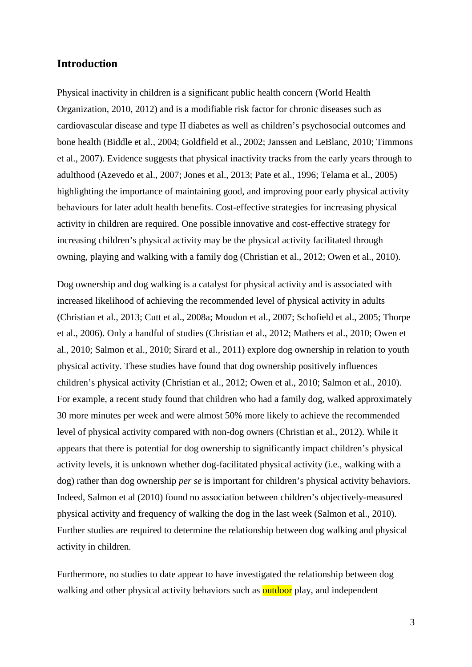## **Introduction**

Physical inactivity in children is a significant public health concern [\(World Health](#page-18-0)  [Organization, 2010,](#page-18-0) [2012\)](#page-18-1) and is a modifiable risk factor for chronic diseases such as cardiovascular disease and type II diabetes as well as children's psychosocial outcomes and bone health (Biddle [et al., 2004;](#page-14-0) [Goldfield et al., 2002;](#page-15-0) [Janssen and LeBlanc, 2010;](#page-15-1) [Timmons](#page-17-0)  [et al., 2007\)](#page-17-0). Evidence suggests that physical inactivity tracks from the early years through to adulthood [\(Azevedo et al., 2007;](#page-14-1) [Jones et al., 2013;](#page-15-2) [Pate et al., 1996;](#page-16-0) [Telama et al., 2005\)](#page-17-1) highlighting the importance of maintaining good, and improving poor early physical activity behaviours for later adult health benefits. Cost-effective strategies for increasing physical activity in children are required. One possible innovative and cost-effective strategy for increasing children's physical activity may be the physical activity facilitated through owning, playing and walking with a family dog [\(Christian et al., 2012;](#page-14-2) [Owen et al., 2010\)](#page-16-1).

Dog ownership and dog walking is a catalyst for physical activity and is associated with increased likelihood of achieving the recommended level of physical activity in adults [\(Christian et al., 2013;](#page-14-3) [Cutt et al., 2008a;](#page-14-4) [Moudon et al., 2007;](#page-16-2) [Schofield et al., 2005;](#page-17-2) [Thorpe](#page-17-3)  [et al., 2006\)](#page-17-3). Only a handful of studies [\(Christian et al., 2012;](#page-14-2) [Mathers et al., 2010;](#page-15-3) [Owen et](#page-16-1)  [al., 2010;](#page-16-1) [Salmon et](#page-17-4) al., 2010; [Sirard et al., 2011\)](#page-17-5) explore dog ownership in relation to youth physical activity. These studies have found that dog ownership positively influences children's physical activity [\(Christian et al., 2012;](#page-14-2) [Owen et al., 2010;](#page-16-1) [Salmon et al., 2010\)](#page-17-4). For example, a recent study found that children who had a family dog, walked approximately 30 more minutes per week and were almost 50% more likely to achieve the recommended level of physical activity compared with non-dog owners [\(Christian et al., 2012\)](#page-14-2). While it appears that there is potential for dog ownership to significantly impact children's physical activity levels, it is unknown whether dog-facilitated physical activity (i.e., walking with a dog) rather than dog ownership *per se* is important for children's physical activity behaviors. Indeed, Salmon et al (2010) found no association between children's objectively-measured physical activity and frequency of walking the dog in the last week [\(Salmon et al., 2010\)](#page-17-4). Further studies are required to determine the relationship between dog walking and physical activity in children.

Furthermore, no studies to date appear to have investigated the relationship between dog walking and other physical activity behaviors such as **outdoor** play, and independent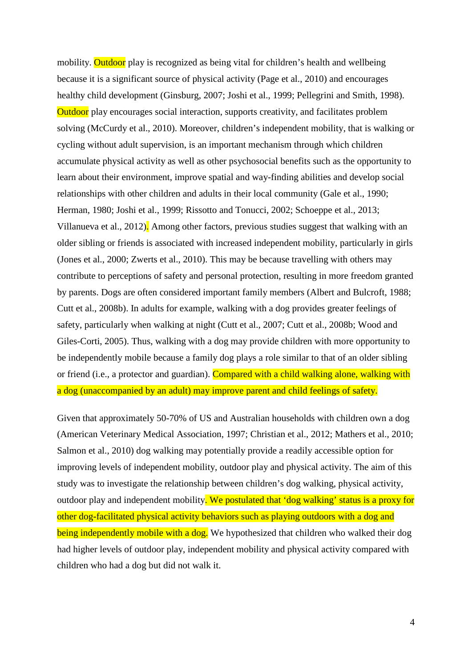mobility. Outdoor play is recognized as being vital for children's health and wellbeing because it is a significant source of physical activity [\(Page et al., 2010\)](#page-16-3) and encourages healthy child development [\(Ginsburg, 2007;](#page-15-4) [Joshi et al., 1999;](#page-15-5) [Pellegrini and Smith, 1998\)](#page-16-4). Outdoor play encourages social interaction, supports creativity, and facilitates problem solving [\(McCurdy et al., 2010\)](#page-16-5). Moreover, children's independent mobility, that is walking or cycling without adult supervision, is an important mechanism through which children accumulate physical activity as well as other psychosocial benefits such as the opportunity to learn about their environment, improve spatial and way-finding abilities and develop social relationships with other children and adults in their local community [\(Gale et al., 1990;](#page-15-6) [Herman, 1980;](#page-15-7) [Joshi et al., 1999;](#page-15-5) [Rissotto and Tonucci, 2002;](#page-16-6) [Schoeppe et al., 2013;](#page-17-6) [Villanueva et al., 2012\)](#page-18-2). Among other factors, previous studies suggest that walking with an older sibling or friends is associated with increased independent mobility, particularly in girls [\(Jones et al., 2000;](#page-15-8) Zwerts et al., 2010). This may be because travelling with others may contribute to perceptions of safety and personal protection, resulting in more freedom granted by parents. Dogs are often considered important family members [\(Albert and Bulcroft, 1988;](#page-14-5) [Cutt et al., 2008b\)](#page-14-6). In adults for example, walking with a dog provides greater feelings of safety, particularly when walking at night [\(Cutt et al., 2007;](#page-14-7) [Cutt et al., 2008b;](#page-15-9) [Wood and](#page-18-3)  [Giles-Corti, 2005\)](#page-18-3). Thus, walking with a dog may provide children with more opportunity to be independently mobile because a family dog plays a role similar to that of an older sibling or friend (i.e., a protector and guardian). Compared with a child walking alone, walking with a dog (unaccompanied by an adult) may improve parent and child feelings of safety.

Given that approximately 50-70% of US and Australian households with children own a dog [\(American Veterinary Medical Association, 1997;](#page-14-8) [Christian et al., 2012;](#page-14-2) [Mathers et al., 2010;](#page-15-3) [Salmon et al., 2010\)](#page-17-4) dog walking may potentially provide a readily accessible option for improving levels of independent mobility, outdoor play and physical activity. The aim of this study was to investigate the relationship between children's dog walking, physical activity, outdoor play and independent mobility. We postulated that 'dog walking' status is a proxy for other dog-facilitated physical activity behaviors such as playing outdoors with a dog and being independently mobile with a dog. We hypothesized that children who walked their dog had higher levels of outdoor play, independent mobility and physical activity compared with children who had a dog but did not walk it.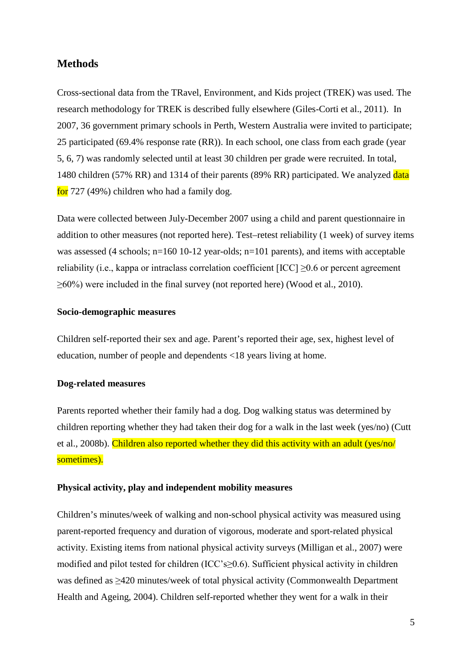## **Methods**

Cross-sectional data from the TRavel, Environment, and Kids project (TREK) was used. The research methodology for TREK is described fully elsewhere [\(Giles-Corti et al., 2011\)](#page-15-10). In 2007, 36 government primary schools in Perth, Western Australia were invited to participate; 25 participated (69.4% response rate (RR)). In each school, one class from each grade (year 5, 6, 7) was randomly selected until at least 30 children per grade were recruited. In total, 1480 children (57% RR) and 1314 of their parents (89% RR) participated. We analyzed data for 727 (49%) children who had a family dog.

Data were collected between July-December 2007 using a child and parent questionnaire in addition to other measures (not reported here). Test–retest reliability (1 week) of survey items was assessed (4 schools; n=160 10-12 year-olds; n=101 parents), and items with acceptable reliability (i.e., kappa or intraclass correlation coefficient  $[ICC] \ge 0.6$  or percent agreement ≥60%) were included in the final survey (not reported here) [\(Wood et al., 2010\)](#page-18-4).

### **Socio-demographic measures**

Children self-reported their sex and age. Parent's reported their age, sex, highest level of education, number of people and dependents <18 years living at home.

### **Dog-related measures**

Parents reported whether their family had a dog. Dog walking status was determined by children reporting whether they had taken their dog for a walk in the last week (yes/no) [\(Cutt](#page-14-6)  [et al., 2008b\)](#page-14-6). Children also reported whether they did this activity with an adult (yes/no/ sometimes).

### **Physical activity, play and independent mobility measures**

Children's minutes/week of walking and non-school physical activity was measured using parent-reported frequency and duration of vigorous, moderate and sport-related physical activity. Existing items from national physical activity surveys [\(Milligan et al., 2007\)](#page-16-7) were modified and pilot tested for children (ICC's≥0.6). Sufficient physical activity in children was defined as ≥420 minutes/week of total physical activity [\(Commonwealth Department](#page-14-9)  [Health and Ageing, 2004\)](#page-14-9). Children self-reported whether they went for a walk in their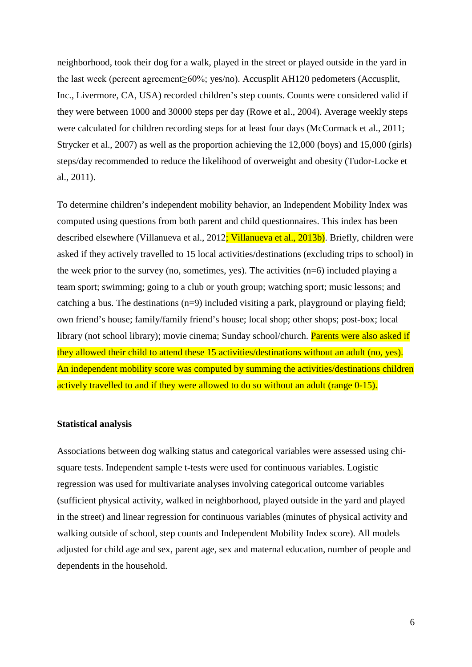neighborhood, took their dog for a walk, played in the street or played outside in the yard in the last week (percent agreement≥60%; yes/no). Accusplit AH120 pedometers (Accusplit, Inc., Livermore, CA, USA) recorded children's step counts. Counts were considered valid if they were between 1000 and 30000 steps per day [\(Rowe et al., 2004\)](#page-16-8). Average weekly steps were calculated for children recording steps for at least four days [\(McCormack et al., 2011;](#page-15-11) [Strycker et al., 2007\)](#page-17-7) as well as the proportion achieving the 12,000 (boys) and 15,000 (girls) steps/day recommended to reduce the likelihood of overweight and obesity [\(Tudor-Locke et](#page-17-8)  [al., 2011\)](#page-17-8).

To determine children's independent mobility behavior, an Independent Mobility Index was computed using questions from both parent and child questionnaires. This index has been described elsewhere [\(Villanueva et al., 2012;](#page-18-2) [Villanueva et al., 2013b\)](#page-18-5). Briefly, children were asked if they actively travelled to 15 local activities/destinations (excluding trips to school) in the week prior to the survey (no, sometimes, yes). The activities (n=6) included playing a team sport; swimming; going to a club or youth group; watching sport; music lessons; and catching a bus. The destinations (n=9) included visiting a park, playground or playing field; own friend's house; family/family friend's house; local shop; other shops; post-box; local library (not school library); movie cinema; Sunday school/church. Parents were also asked if they allowed their child to attend these 15 activities/destinations without an adult (no, yes). An independent mobility score was computed by summing the activities/destinations children actively travelled to and if they were allowed to do so without an adult (range 0-15).

#### **Statistical analysis**

Associations between dog walking status and categorical variables were assessed using chisquare tests. Independent sample t-tests were used for continuous variables. Logistic regression was used for multivariate analyses involving categorical outcome variables (sufficient physical activity, walked in neighborhood, played outside in the yard and played in the street) and linear regression for continuous variables (minutes of physical activity and walking outside of school, step counts and Independent Mobility Index score). All models adjusted for child age and sex, parent age, sex and maternal education, number of people and dependents in the household.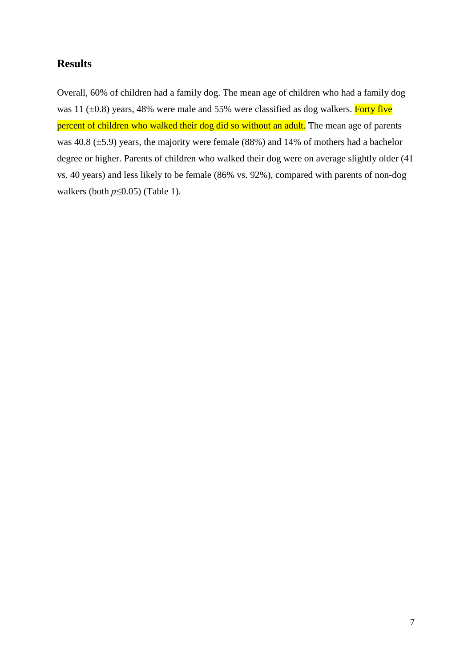## **Results**

Overall, 60% of children had a family dog. The mean age of children who had a family dog was 11  $(\pm 0.8)$  years, 48% were male and 55% were classified as dog walkers. Forty five percent of children who walked their dog did so without an adult. The mean age of parents was 40.8 (±5.9) years, the majority were female (88%) and 14% of mothers had a bachelor degree or higher. Parents of children who walked their dog were on average slightly older (41 vs. 40 years) and less likely to be female (86% vs. 92%), compared with parents of non-dog walkers (both *p≤*0.05) (Table 1).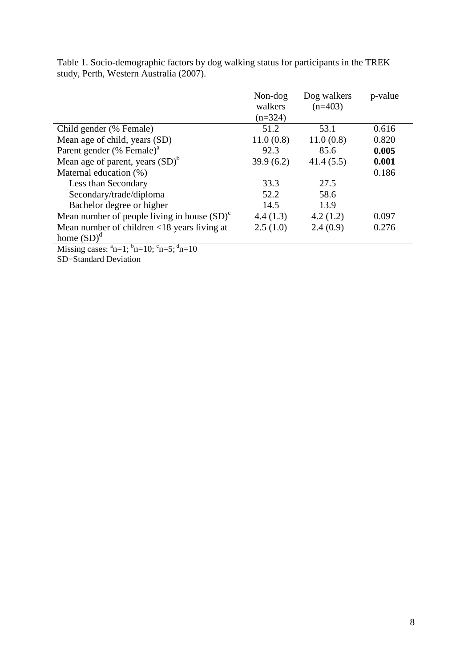|                                                                               | Non-dog<br>walkers | Dog walkers<br>$(n=403)$ | p-value |
|-------------------------------------------------------------------------------|--------------------|--------------------------|---------|
|                                                                               | $(n=324)$          |                          |         |
| Child gender (% Female)                                                       | 51.2               | 53.1                     | 0.616   |
| Mean age of child, years (SD)                                                 | 11.0(0.8)          | 11.0(0.8)                | 0.820   |
| Parent gender (% Female) <sup>a</sup>                                         | 92.3               | 85.6                     | 0.005   |
| Mean age of parent, years $(SD)^b$                                            | 39.9(6.2)          | 41.4(5.5)                | 0.001   |
| Maternal education (%)                                                        |                    |                          | 0.186   |
| Less than Secondary                                                           | 33.3               | 27.5                     |         |
| Secondary/trade/diploma                                                       | 52.2               | 58.6                     |         |
| Bachelor degree or higher                                                     | 14.5               | 13.9                     |         |
| Mean number of people living in house $(SD)^c$                                | 4.4(1.3)           | 4.2(1.2)                 | 0.097   |
| Mean number of children $\langle 18 \rangle$ years living at<br>home $(SD)^d$ | 2.5(1.0)           | 2.4(0.9)                 | 0.276   |
| Missing cases: $^a$ n=1; $^b$ n=10; $^c$ n=5; $^d$ n=10                       |                    |                          |         |

Table 1. Socio-demographic factors by dog walking status for participants in the TREK study, Perth, Western Australia (2007).

n=10

SD=Standard Deviation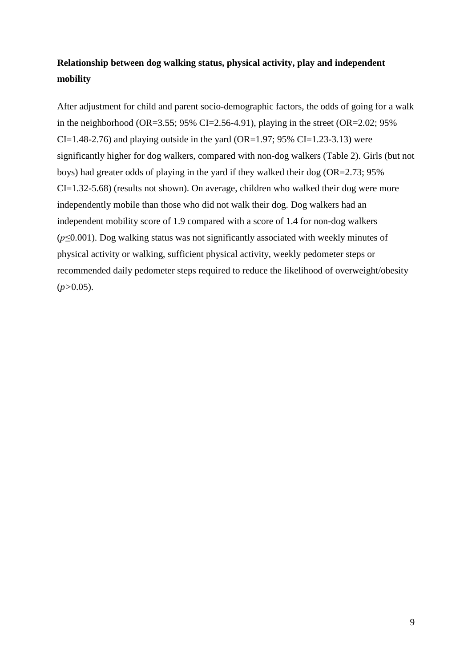## **Relationship between dog walking status, physical activity, play and independent mobility**

After adjustment for child and parent socio-demographic factors, the odds of going for a walk in the neighborhood (OR=3.55; 95% CI=2.56-4.91), playing in the street (OR=2.02; 95%  $CI=1.48-2.76$ ) and playing outside in the yard (OR=1.97; 95% CI=1.23-3.13) were significantly higher for dog walkers, compared with non-dog walkers (Table 2). Girls (but not boys) had greater odds of playing in the yard if they walked their dog (OR=2.73; 95% CI=1.32-5.68) (results not shown). On average, children who walked their dog were more independently mobile than those who did not walk their dog. Dog walkers had an independent mobility score of 1.9 compared with a score of 1.4 for non-dog walkers (*p≤*0.001). Dog walking status was not significantly associated with weekly minutes of physical activity or walking, sufficient physical activity, weekly pedometer steps or recommended daily pedometer steps required to reduce the likelihood of overweight/obesity (*p>*0.05).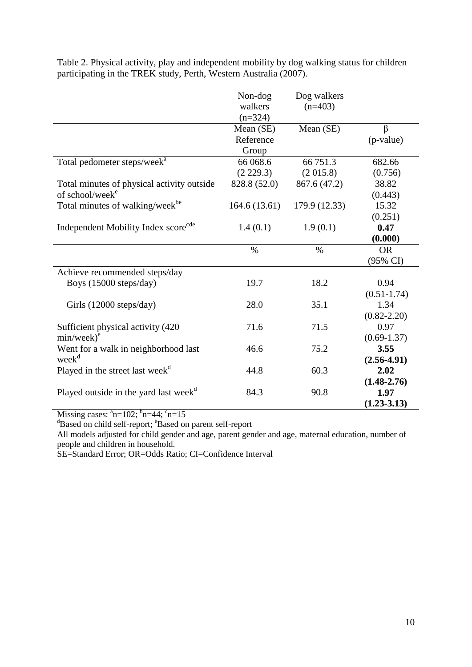|                                                   | Non-dog       | Dog walkers   |                 |
|---------------------------------------------------|---------------|---------------|-----------------|
|                                                   | walkers       | $(n=403)$     |                 |
|                                                   | $(n=324)$     |               |                 |
|                                                   | Mean (SE)     | Mean (SE)     | β               |
|                                                   | Reference     |               | (p-value)       |
|                                                   | Group         |               |                 |
| Total pedometer steps/week <sup>a</sup>           | 66 068.6      | 66 751.3      | 682.66          |
|                                                   | (2 229.3)     | (2015.8)      | (0.756)         |
| Total minutes of physical activity outside        | 828.8 (52.0)  | 867.6 (47.2)  | 38.82           |
| of school/week <sup>e</sup>                       |               |               | (0.443)         |
| Total minutes of walking/week <sup>be</sup>       | 164.6(13.61)  | 179.9 (12.33) | 15.32           |
|                                                   |               |               | (0.251)         |
| Independent Mobility Index score <sup>cde</sup>   | 1.4(0.1)      | 1.9(0.1)      | 0.47            |
|                                                   |               |               | (0.000)         |
|                                                   | $\frac{0}{0}$ | $\%$          | <b>OR</b>       |
|                                                   |               |               | (95% CI)        |
| Achieve recommended steps/day                     |               |               |                 |
| Boys (15000 steps/day)                            | 19.7          | 18.2          | 0.94            |
|                                                   |               |               | $(0.51 - 1.74)$ |
| Girls $(12000 \text{ steps/day})$                 | 28.0          | 35.1          | 1.34            |
|                                                   |               |               | $(0.82 - 2.20)$ |
| Sufficient physical activity (420)                | 71.6          | 71.5          | 0.97            |
| $min/week)^e$                                     |               |               | $(0.69 - 1.37)$ |
| Went for a walk in neighborhood last              | 46.6          | 75.2          | 3.55            |
| week <sup>d</sup>                                 |               |               | $(2.56 - 4.91)$ |
| Played in the street last week <sup>d</sup>       | 44.8          | 60.3          | 2.02            |
|                                                   |               |               | $(1.48 - 2.76)$ |
| Played outside in the yard last week <sup>d</sup> | 84.3          | 90.8          | 1.97            |
|                                                   |               |               | $(1.23 - 3.13)$ |

Table 2. Physical activity, play and independent mobility by dog walking status for children participating in the TREK study, Perth, Western Australia (2007).

Missing cases:  $^{a}n=102$ ;  $^{b}n=44$ ;  $^{c}n=15$ 

<sup>d</sup>Based on child self-report; <sup>e</sup>Based on parent self-report

All models adjusted for child gender and age, parent gender and age, maternal education, number of people and children in household.

SE=Standard Error; OR=Odds Ratio; CI=Confidence Interval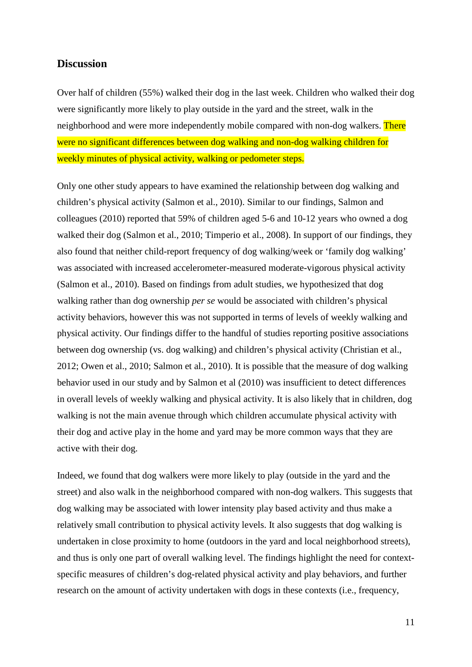## **Discussion**

Over half of children (55%) walked their dog in the last week. Children who walked their dog were significantly more likely to play outside in the yard and the street, walk in the neighborhood and were more independently mobile compared with non-dog walkers. There were no significant differences between dog walking and non-dog walking children for weekly minutes of physical activity, walking or pedometer steps.

Only one other study appears to have examined the relationship between dog walking and children's physical activity [\(Salmon et al., 2010\)](#page-17-4). Similar to our findings, Salmon and colleagues (2010) reported that 59% of children aged 5-6 and 10-12 years who owned a dog walked their dog [\(Salmon et al., 2010;](#page-17-4) [Timperio et al., 2008\)](#page-17-9). In support of our findings, they also found that neither child-report frequency of dog walking/week or 'family dog walking' was associated with increased accelerometer-measured moderate-vigorous physical activity [\(Salmon et al., 2010\)](#page-17-4). Based on findings from adult studies, we hypothesized that dog walking rather than dog ownership *per se* would be associated with children's physical activity behaviors, however this was not supported in terms of levels of weekly walking and physical activity. Our findings differ to the handful of studies reporting positive associations between dog ownership (vs. dog walking) and children's physical activity [\(Christian et al.,](#page-14-2)  [2012;](#page-14-2) [Owen et al., 2010;](#page-16-1) [Salmon et](#page-17-4) al., 2010). It is possible that the measure of dog walking behavior used in our study and by Salmon et al (2010) was insufficient to detect differences in overall levels of weekly walking and physical activity. It is also likely that in children, dog walking is not the main avenue through which children accumulate physical activity with their dog and active play in the home and yard may be more common ways that they are active with their dog.

Indeed, we found that dog walkers were more likely to play (outside in the yard and the street) and also walk in the neighborhood compared with non-dog walkers. This suggests that dog walking may be associated with lower intensity play based activity and thus make a relatively small contribution to physical activity levels. It also suggests that dog walking is undertaken in close proximity to home (outdoors in the yard and local neighborhood streets), and thus is only one part of overall walking level. The findings highlight the need for contextspecific measures of children's dog-related physical activity and play behaviors, and further research on the amount of activity undertaken with dogs in these contexts (i.e., frequency,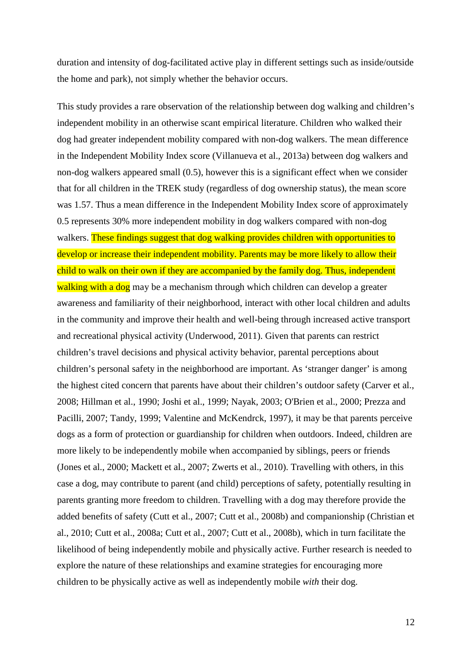duration and intensity of dog-facilitated active play in different settings such as inside/outside the home and park), not simply whether the behavior occurs.

This study provides a rare observation of the relationship between dog walking and children's independent mobility in an otherwise scant empirical literature. Children who walked their dog had greater independent mobility compared with non-dog walkers. The mean difference in the Independent Mobility Index score [\(Villanueva et al., 2013a\)](#page-18-6) between dog walkers and non-dog walkers appeared small (0.5), however this is a significant effect when we consider that for all children in the TREK study (regardless of dog ownership status), the mean score was 1.57. Thus a mean difference in the Independent Mobility Index score of approximately 0.5 represents 30% more independent mobility in dog walkers compared with non-dog walkers. These findings suggest that dog walking provides children with opportunities to develop or increase their independent mobility. Parents may be more likely to allow their child to walk on their own if they are accompanied by the family dog. Thus, independent walking with a dog may be a mechanism through which children can develop a greater awareness and familiarity of their neighborhood, interact with other local children and adults in the community and improve their health and well-being through increased active transport and recreational physical activity [\(Underwood, 2011\)](#page-17-10). Given that parents can restrict children's travel decisions and physical activity behavior, parental perceptions about children's personal safety in the neighborhood are important. As 'stranger danger' is among the highest cited concern that parents have about their children's outdoor safety [\(Carver et al.,](#page-14-10)  [2008;](#page-14-10) [Hillman et al., 1990;](#page-15-12) [Joshi et al., 1999;](#page-15-5) [Nayak, 2003;](#page-16-9) [O'Brien et al., 2000;](#page-16-10) [Prezza and](#page-16-11)  [Pacilli, 2007;](#page-16-11) [Tandy, 1999;](#page-17-11) [Valentine and McKendrck, 1997\)](#page-17-12), it may be that parents perceive dogs as a form of protection or guardianship for children when outdoors. Indeed, children are more likely to be independently mobile when accompanied by siblings, peers or friends [\(Jones et al., 2000;](#page-15-8) [Mackett et al., 2007;](#page-15-13) Zwerts et al., 2010). Travelling with others, in this case a dog, may contribute to parent (and child) perceptions of safety, potentially resulting in parents granting more freedom to children. Travelling with a dog may therefore provide the added benefits of safety [\(Cutt et al., 2007;](#page-14-7) [Cutt et al., 2008b\)](#page-15-9) and companionship [\(Christian et](#page-14-11)  [al., 2010;](#page-14-11) [Cutt et al., 2008a;](#page-14-12) [Cutt et al., 2007;](#page-14-7) [Cutt et al., 2008b\)](#page-15-9), which in turn facilitate the likelihood of being independently mobile and physically active. Further research is needed to explore the nature of these relationships and examine strategies for encouraging more children to be physically active as well as independently mobile *with* their dog.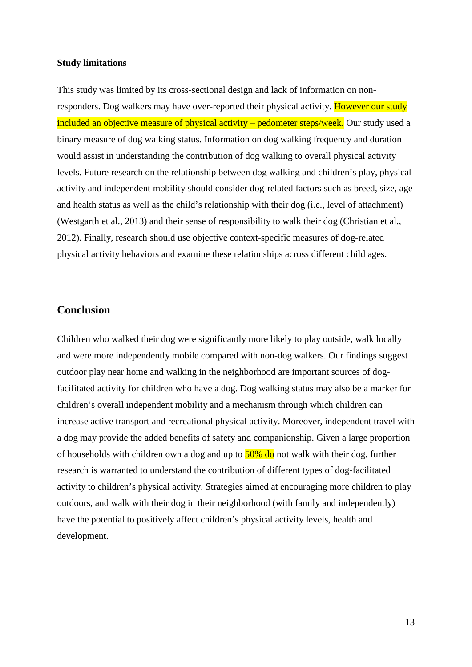#### **Study limitations**

This study was limited by its cross-sectional design and lack of information on nonresponders. Dog walkers may have over-reported their physical activity. However our study included an objective measure of physical activity – pedometer steps/week. Our study used a binary measure of dog walking status. Information on dog walking frequency and duration would assist in understanding the contribution of dog walking to overall physical activity levels. Future research on the relationship between dog walking and children's play, physical activity and independent mobility should consider dog-related factors such as breed, size, age and health status as well as the child's relationship with their dog (i.e., level of attachment) [\(Westgarth et al., 2013\)](#page-18-7) and their sense of responsibility to walk their dog [\(Christian et al.,](#page-14-2)  [2012\)](#page-14-2). Finally, research should use objective context-specific measures of dog-related physical activity behaviors and examine these relationships across different child ages.

## **Conclusion**

Children who walked their dog were significantly more likely to play outside, walk locally and were more independently mobile compared with non-dog walkers. Our findings suggest outdoor play near home and walking in the neighborhood are important sources of dogfacilitated activity for children who have a dog. Dog walking status may also be a marker for children's overall independent mobility and a mechanism through which children can increase active transport and recreational physical activity. Moreover, independent travel with a dog may provide the added benefits of safety and companionship. Given a large proportion of households with children own a dog and up to  $50\%$  do not walk with their dog, further research is warranted to understand the contribution of different types of dog-facilitated activity to children's physical activity. Strategies aimed at encouraging more children to play outdoors, and walk with their dog in their neighborhood (with family and independently) have the potential to positively affect children's physical activity levels, health and development.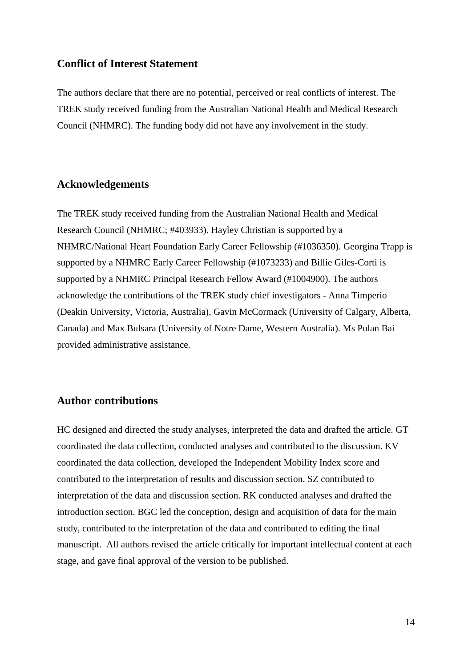## **Conflict of Interest Statement**

The authors declare that there are no potential, perceived or real conflicts of interest. The TREK study received funding from the Australian National Health and Medical Research Council (NHMRC). The funding body did not have any involvement in the study.

## **Acknowledgements**

The TREK study received funding from the Australian National Health and Medical Research Council (NHMRC; #403933). Hayley Christian is supported by a NHMRC/National Heart Foundation Early Career Fellowship (#1036350). Georgina Trapp is supported by a NHMRC Early Career Fellowship (#1073233) and Billie Giles-Corti is supported by a NHMRC Principal Research Fellow Award (#1004900). The authors acknowledge the contributions of the TREK study chief investigators - Anna Timperio (Deakin University, Victoria, Australia), Gavin McCormack (University of Calgary, Alberta, Canada) and Max Bulsara (University of Notre Dame, Western Australia). Ms Pulan Bai provided administrative assistance.

## **Author contributions**

HC designed and directed the study analyses, interpreted the data and drafted the article. GT coordinated the data collection, conducted analyses and contributed to the discussion. KV coordinated the data collection, developed the Independent Mobility Index score and contributed to the interpretation of results and discussion section. SZ contributed to interpretation of the data and discussion section. RK conducted analyses and drafted the introduction section. BGC led the conception, design and acquisition of data for the main study, contributed to the interpretation of the data and contributed to editing the final manuscript. All authors revised the article critically for important intellectual content at each stage, and gave final approval of the version to be published.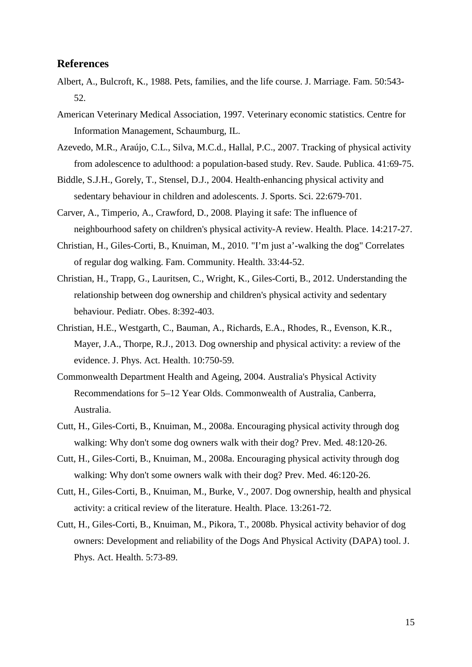## **References**

- <span id="page-14-5"></span>Albert, A., Bulcroft, K., 1988. Pets, families, and the life course. J. Marriage. Fam. 50:543- 52.
- <span id="page-14-8"></span>American Veterinary Medical Association, 1997. Veterinary economic statistics. Centre for Information Management, Schaumburg, IL.
- <span id="page-14-1"></span>Azevedo, M.R., Araújo, C.L., Silva, M.C.d., Hallal, P.C., 2007. Tracking of physical activity from adolescence to adulthood: a population-based study. Rev. Saude. Publica. 41:69-75.
- <span id="page-14-0"></span>Biddle, S.J.H., Gorely, T., Stensel, D.J., 2004. Health-enhancing physical activity and sedentary behaviour in children and adolescents. J. Sports. Sci. 22:679-701.
- <span id="page-14-10"></span>Carver, A., Timperio, A., Crawford, D., 2008. Playing it safe: The influence of neighbourhood safety on children's physical activity-A review. Health. Place. 14:217-27.
- <span id="page-14-11"></span>Christian, H., Giles-Corti, B., Knuiman, M., 2010. "I'm just a'-walking the dog" Correlates of regular dog walking. Fam. Community. Health. 33:44-52.
- <span id="page-14-2"></span>Christian, H., Trapp, G., Lauritsen, C., Wright, K., Giles-Corti, B., 2012. Understanding the relationship between dog ownership and children's physical activity and sedentary behaviour. Pediatr. Obes. 8:392-403.
- <span id="page-14-3"></span>Christian, H.E., Westgarth, C., Bauman, A., Richards, E.A., Rhodes, R., Evenson, K.R., Mayer, J.A., Thorpe, R.J., 2013. Dog ownership and physical activity: a review of the evidence. J. Phys. Act. Health. 10:750-59.
- <span id="page-14-9"></span>Commonwealth Department Health and Ageing, 2004. Australia's Physical Activity Recommendations for 5–12 Year Olds. Commonwealth of Australia, Canberra, Australia.
- <span id="page-14-12"></span>Cutt, H., Giles-Corti, B., Knuiman, M., 2008a. Encouraging physical activity through dog walking: Why don't some dog owners walk with their dog? Prev. Med. 48:120-26.
- <span id="page-14-4"></span>Cutt, H., Giles-Corti, B., Knuiman, M., 2008a. Encouraging physical activity through dog walking: Why don't some owners walk with their dog? Prev. Med. 46:120-26.
- <span id="page-14-7"></span>Cutt, H., Giles-Corti, B., Knuiman, M., Burke, V., 2007. Dog ownership, health and physical activity: a critical review of the literature. Health. Place. 13:261-72.
- <span id="page-14-6"></span>Cutt, H., Giles-Corti, B., Knuiman, M., Pikora, T., 2008b. Physical activity behavior of dog owners: Development and reliability of the Dogs And Physical Activity (DAPA) tool. J. Phys. Act. Health. 5:73-89.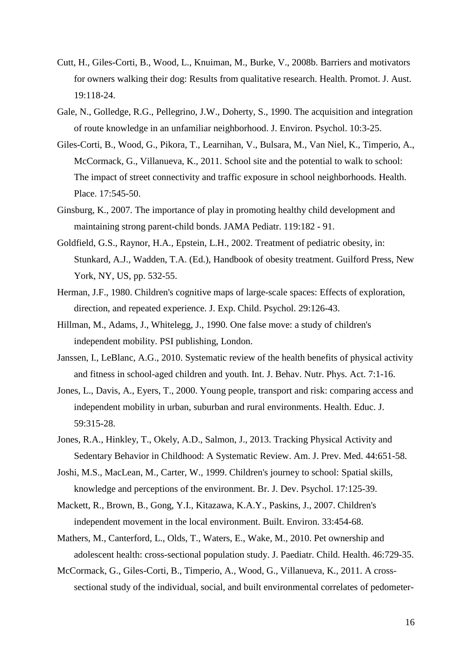- <span id="page-15-9"></span>Cutt, H., Giles-Corti, B., Wood, L., Knuiman, M., Burke, V., 2008b. Barriers and motivators for owners walking their dog: Results from qualitative research. Health. Promot. J. Aust. 19:118-24.
- <span id="page-15-6"></span>Gale, N., Golledge, R.G., Pellegrino, J.W., Doherty, S., 1990. The acquisition and integration of route knowledge in an unfamiliar neighborhood. J. Environ. Psychol. 10:3-25.
- <span id="page-15-10"></span>Giles-Corti, B., Wood, G., Pikora, T., Learnihan, V., Bulsara, M., Van Niel, K., Timperio, A., McCormack, G., Villanueva, K., 2011. School site and the potential to walk to school: The impact of street connectivity and traffic exposure in school neighborhoods. Health. Place. 17:545-50.
- <span id="page-15-4"></span>Ginsburg, K., 2007. The importance of play in promoting healthy child development and maintaining strong parent-child bonds. JAMA Pediatr. 119:182 - 91.
- <span id="page-15-0"></span>Goldfield, G.S., Raynor, H.A., Epstein, L.H., 2002. Treatment of pediatric obesity, in: Stunkard, A.J., Wadden, T.A. (Ed.), Handbook of obesity treatment. Guilford Press, New York, NY, US, pp. 532-55.
- <span id="page-15-7"></span>Herman, J.F., 1980. Children's cognitive maps of large-scale spaces: Effects of exploration, direction, and repeated experience. J. Exp. Child. Psychol. 29:126-43.
- <span id="page-15-12"></span>Hillman, M., Adams, J., Whitelegg, J., 1990. One false move: a study of children's independent mobility. PSI publishing, London.
- <span id="page-15-1"></span>Janssen, I., LeBlanc, A.G., 2010. Systematic review of the health benefits of physical activity and fitness in school-aged children and youth. Int. J. Behav. Nutr. Phys. Act. 7:1-16.
- <span id="page-15-8"></span>Jones, L., Davis, A., Eyers, T., 2000. Young people, transport and risk: comparing access and independent mobility in urban, suburban and rural environments. Health. Educ. J. 59:315-28.
- <span id="page-15-2"></span>Jones, R.A., Hinkley, T., Okely, A.D., Salmon, J., 2013. Tracking Physical Activity and Sedentary Behavior in Childhood: A Systematic Review. Am. J. Prev. Med. 44:651-58.
- <span id="page-15-5"></span>Joshi, M.S., MacLean, M., Carter, W., 1999. Children's journey to school: Spatial skills, knowledge and perceptions of the environment. Br. J. Dev. Psychol. 17:125-39.
- <span id="page-15-13"></span>Mackett, R., Brown, B., Gong, Y.I., Kitazawa, K.A.Y., Paskins, J., 2007. Children's independent movement in the local environment. Built. Environ. 33:454-68.
- <span id="page-15-3"></span>Mathers, M., Canterford, L., Olds, T., Waters, E., Wake, M., 2010. Pet ownership and adolescent health: cross-sectional population study. J. Paediatr. Child. Health. 46:729-35.
- <span id="page-15-11"></span>McCormack, G., Giles-Corti, B., Timperio, A., Wood, G., Villanueva, K., 2011. A crosssectional study of the individual, social, and built environmental correlates of pedometer-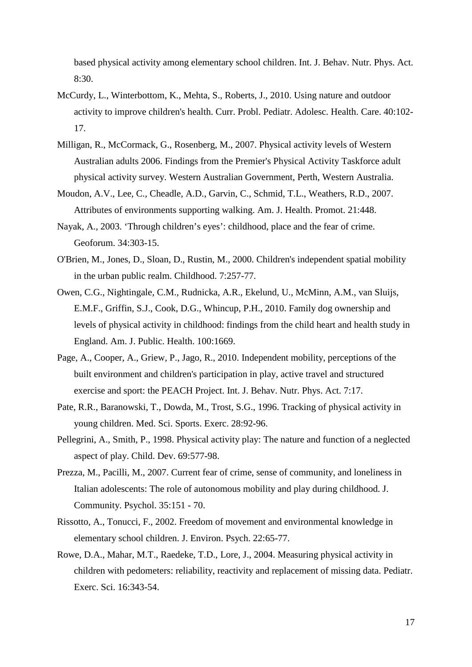based physical activity among elementary school children. Int. J. Behav. Nutr. Phys. Act. 8:30.

- <span id="page-16-5"></span>McCurdy, L., Winterbottom, K., Mehta, S., Roberts, J., 2010. Using nature and outdoor activity to improve children's health. Curr. Probl. Pediatr. Adolesc. Health. Care. 40:102- 17.
- <span id="page-16-7"></span>Milligan, R., McCormack, G., Rosenberg, M., 2007. Physical activity levels of Western Australian adults 2006. Findings from the Premier's Physical Activity Taskforce adult physical activity survey. Western Australian Government, Perth, Western Australia.
- <span id="page-16-2"></span>Moudon, A.V., Lee, C., Cheadle, A.D., Garvin, C., Schmid, T.L., Weathers, R.D., 2007. Attributes of environments supporting walking. Am. J. Health. Promot. 21:448.
- <span id="page-16-9"></span>Nayak, A., 2003. 'Through children's eyes': childhood, place and the fear of crime. Geoforum. 34:303-15.
- <span id="page-16-10"></span>O'Brien, M., Jones, D., Sloan, D., Rustin, M., 2000. Children's independent spatial mobility in the urban public realm. Childhood. 7:257-77.
- <span id="page-16-1"></span>Owen, C.G., Nightingale, C.M., Rudnicka, A.R., Ekelund, U., McMinn, A.M., van Sluijs, E.M.F., Griffin, S.J., Cook, D.G., Whincup, P.H., 2010. Family dog ownership and levels of physical activity in childhood: findings from the child heart and health study in England. Am. J. Public. Health. 100:1669.
- <span id="page-16-3"></span>Page, A., Cooper, A., Griew, P., Jago, R., 2010. Independent mobility, perceptions of the built environment and children's participation in play, active travel and structured exercise and sport: the PEACH Project. Int. J. Behav. Nutr. Phys. Act. 7:17.
- <span id="page-16-0"></span>Pate, R.R., Baranowski, T., Dowda, M., Trost, S.G., 1996. Tracking of physical activity in young children. Med. Sci. Sports. Exerc. 28:92-96.
- <span id="page-16-4"></span>Pellegrini, A., Smith, P., 1998. Physical activity play: The nature and function of a neglected aspect of play. Child. Dev. 69:577-98.
- <span id="page-16-11"></span>Prezza, M., Pacilli, M., 2007. Current fear of crime, sense of community, and loneliness in Italian adolescents: The role of autonomous mobility and play during childhood. J. Community. Psychol. 35:151 - 70.
- <span id="page-16-6"></span>Rissotto, A., Tonucci, F., 2002. Freedom of movement and environmental knowledge in elementary school children. J. Environ. Psych. 22:65-77.
- <span id="page-16-8"></span>Rowe, D.A., Mahar, M.T., Raedeke, T.D., Lore, J., 2004. Measuring physical activity in children with pedometers: reliability, reactivity and replacement of missing data. Pediatr. Exerc. Sci. 16:343-54.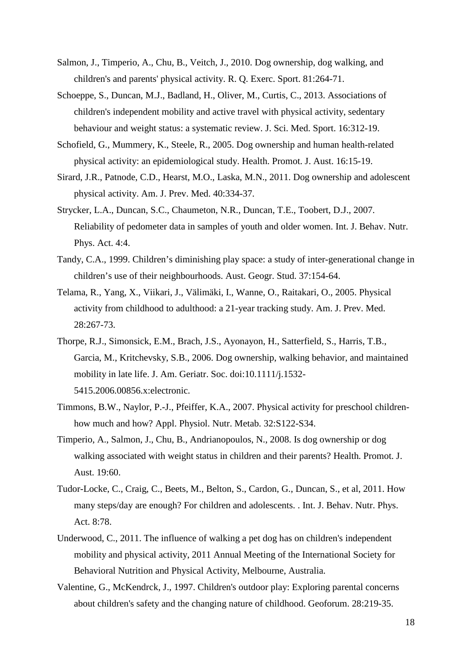- <span id="page-17-4"></span>Salmon, J., Timperio, A., Chu, B., Veitch, J., 2010. Dog ownership, dog walking, and children's and parents' physical activity. R. Q. Exerc. Sport. 81:264-71.
- <span id="page-17-6"></span>Schoeppe, S., Duncan, M.J., Badland, H., Oliver, M., Curtis, C., 2013. Associations of children's independent mobility and active travel with physical activity, sedentary behaviour and weight status: a systematic review. J. Sci. Med. Sport. 16:312-19.
- <span id="page-17-2"></span>Schofield, G., Mummery, K., Steele, R., 2005. Dog ownership and human health-related physical activity: an epidemiological study. Health. Promot. J. Aust. 16:15-19.
- <span id="page-17-5"></span>Sirard, J.R., Patnode, C.D., Hearst, M.O., Laska, M.N., 2011. Dog ownership and adolescent physical activity. Am. J. Prev. Med. 40:334-37.
- <span id="page-17-7"></span>Strycker, L.A., Duncan, S.C., Chaumeton, N.R., Duncan, T.E., Toobert, D.J., 2007. Reliability of pedometer data in samples of youth and older women. Int. J. Behav. Nutr. Phys. Act. 4:4.
- <span id="page-17-11"></span>Tandy, C.A., 1999. Children's diminishing play space: a study of inter-generational change in children's use of their neighbourhoods. Aust. Geogr. Stud. 37:154-64.
- <span id="page-17-1"></span>Telama, R., Yang, X., Viikari, J., Välimäki, I., Wanne, O., Raitakari, O., 2005. Physical activity from childhood to adulthood: a 21-year tracking study. Am. J. Prev. Med. 28:267-73.
- <span id="page-17-3"></span>Thorpe, R.J., Simonsick, E.M., Brach, J.S., Ayonayon, H., Satterfield, S., Harris, T.B., Garcia, M., Kritchevsky, S.B., 2006. Dog ownership, walking behavior, and maintained mobility in late life. J. Am. Geriatr. Soc. doi:10.1111/j.1532- 5415.2006.00856.x:electronic.
- <span id="page-17-0"></span>Timmons, B.W., Naylor, P.-J., Pfeiffer, K.A., 2007. Physical activity for preschool childrenhow much and how? Appl. Physiol. Nutr. Metab. 32:S122-S34.
- <span id="page-17-9"></span>Timperio, A., Salmon, J., Chu, B., Andrianopoulos, N., 2008. Is dog ownership or dog walking associated with weight status in children and their parents? Health. Promot. J. Aust. 19:60.
- <span id="page-17-8"></span>Tudor-Locke, C., Craig, C., Beets, M., Belton, S., Cardon, G., Duncan, S., et al, 2011. How many steps/day are enough? For children and adolescents. . Int. J. Behav. Nutr. Phys. Act. 8:78.
- <span id="page-17-10"></span>Underwood, C., 2011. The influence of walking a pet dog has on children's independent mobility and physical activity, 2011 Annual Meeting of the International Society for Behavioral Nutrition and Physical Activity, Melbourne, Australia.
- <span id="page-17-12"></span>Valentine, G., McKendrck, J., 1997. Children's outdoor play: Exploring parental concerns about children's safety and the changing nature of childhood. Geoforum. 28:219-35.